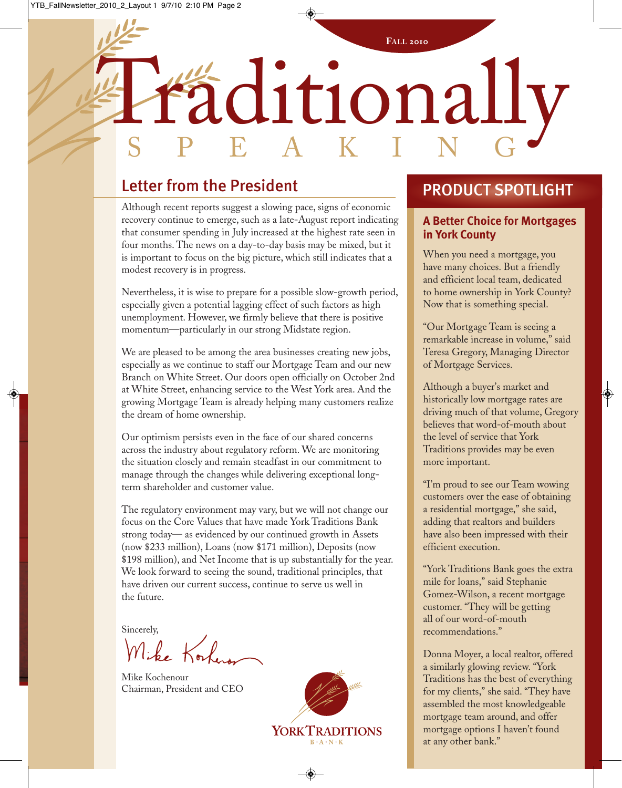# Traditionally **FALL 2010** S P E A K I N G

## Letter from the President

Although recent reports suggest a slowing pace, signs of economic recovery continue to emerge, such as a late-August report indicating that consumer spending in July increased at the highest rate seen in four months. The news on a day-to-day basis may be mixed, but it is important to focus on the big picture, which still indicates that a modest recovery is in progress.

Nevertheless, it is wise to prepare for a possible slow-growth period, especially given a potential lagging effect of such factors as high unemployment. However, we firmly believe that there is positive momentum—particularly in our strong Midstate region.

We are pleased to be among the area businesses creating new jobs, especially as we continue to staff our Mortgage Team and our new Branch on White Street. Our doors open officially on October 2nd at White Street, enhancing service to the West York area. And the growing Mortgage Team is already helping many customers realize the dream of home ownership.

Our optimism persists even in the face of our shared concerns across the industry about regulatory reform. We are monitoring the situation closely and remain steadfast in our commitment to manage through the changes while delivering exceptional longterm shareholder and customer value.

The regulatory environment may vary, but we will not change our focus on the Core Values that have made York Traditions Bank strong today— as evidenced by our continued growth in Assets (now \$233 million), Loans (now \$171 million), Deposits (now \$198 million), and Net Income that is up substantially for the year. We look forward to seeing the sound, traditional principles, that have driven our current success, continue to serve us well in the future.

Sincerely,<br>M. L. Kork

Mike Kochenour Chairman, President and CEO



#### PRODUCT SPOTLIGHT

#### **A Better Choice for Mortgages in York County**

When you need a mortgage, you have many choices. But a friendly and efficient local team, dedicated to home ownership in York County? Now that is something special.

"Our Mortgage Team is seeing a remarkable increase in volume," said Teresa Gregory, Managing Director of Mortgage Services.

Although a buyer's market and historically low mortgage rates are driving much of that volume, Gregory believes that word-of-mouth about the level of service that York Traditions provides may be even more important.

"I'm proud to see our Team wowing customers over the ease of obtaining a residential mortgage," she said, adding that realtors and builders have also been impressed with their efficient execution.

"York Traditions Bank goes the extra mile for loans," said Stephanie Gomez-Wilson, a recent mortgage customer. "They will be getting all of our word-of-mouth recommendations."

Donna Moyer, a local realtor, offered a similarly glowing review. "York Traditions has the best of everything for my clients," she said. "They have assembled the most knowledgeable mortgage team around, and offer mortgage options I haven't found at any other bank."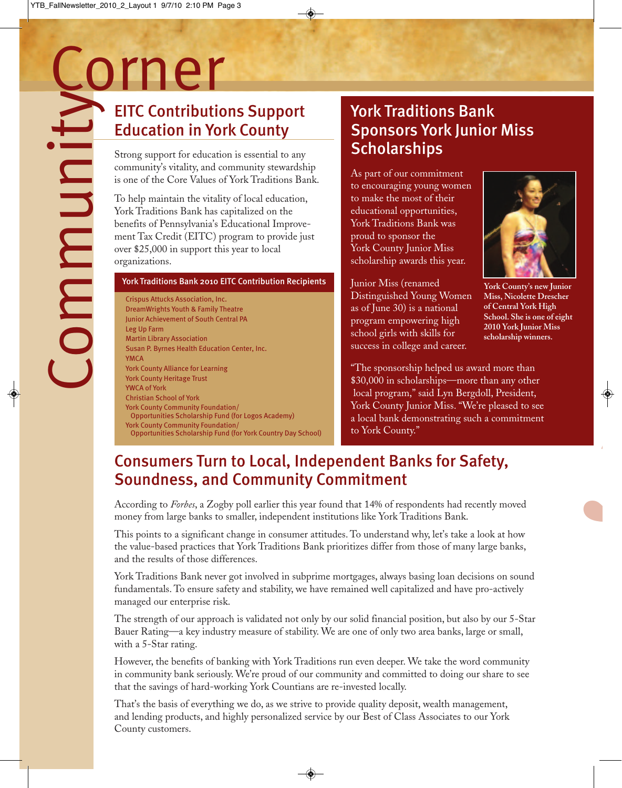# EITC Contributions Support Education in York County

Strong support for education is essential to any community's vitality, and community stewardship is one of the Core Values of York Traditions Bank.

To help maintain the vitality of local education, York Traditions Bank has capitalized on the benefits of Pennsylvania's Educational Improvement Tax Credit (EITC) program to provide just over \$25,000 in support this year to local organizations.

#### York Traditions Bank 2010 EITC Contribution Recipients

Crispus Attucks Association, Inc. DreamWrights Youth & Family Theatre Junior Achievement of South Central PA Leg Up Farm Martin Library Association Susan P. Byrnes Health Education Center, Inc. YMCA York County Alliance for Learning York County Heritage Trust YWCA of York Christian School of York York County Community Foundation/ Opportunities Scholarship Fund (for Logos Academy) York County Community Foundation/ Opportunities Scholarship Fund (for York Country Day School)

## York Traditions Bank Sponsors York Junior Miss **Scholarships**

As part of our commitment to encouraging young women to make the most of their educational opportunities, York Traditions Bank was proud to sponsor the York County Junior Miss scholarship awards this year.

Junior Miss (renamed Distinguished Young Women as of June 30) is a national program empowering high school girls with skills for success in college and career.



**York County's new Junior Miss, Nicolette Drescher of Central York High School. She is one of eight 2010 York Junior Miss scholarship winners.**

*5*

"The sponsorship helped us award more than \$30,000 in scholarships—more than any other local program," said Lyn Bergdoll, President, York County Junior Miss. "We're pleased to see a local bank demonstrating such a commitment to York County."

## Consumers Turn to Local, Independent Banks for Safety, Soundness, and Community Commitment

According to *Forbes*, a Zogby poll earlier this year found that 14% of respondents had recently moved money from large banks to smaller, independent institutions like York Traditions Bank.

This points to a significant change in consumer attitudes. To understand why, let's take a look at how the value-based practices that York Traditions Bank prioritizes differ from those of many large banks, and the results of those differences.

York Traditions Bank never got involved in subprime mortgages, always basing loan decisions on sound fundamentals. To ensure safety and stability, we have remained well capitalized and have pro-actively managed our enterprise risk.

The strength of our approach is validated not only by our solid financial position, but also by our 5-Star Bauer Rating—a key industry measure of stability. We are one of only two area banks, large or small, with a 5-Star rating.

However, the benefits of banking with York Traditions run even deeper. We take the word community in community bank seriously. We're proud of our community and committed to doing our share to see that the savings of hard-working York Countians are re-invested locally.

That's the basis of everything we do, as we strive to provide quality deposit, wealth management, and lending products, and highly personalized service by our Best of Class Associates to our York County customers.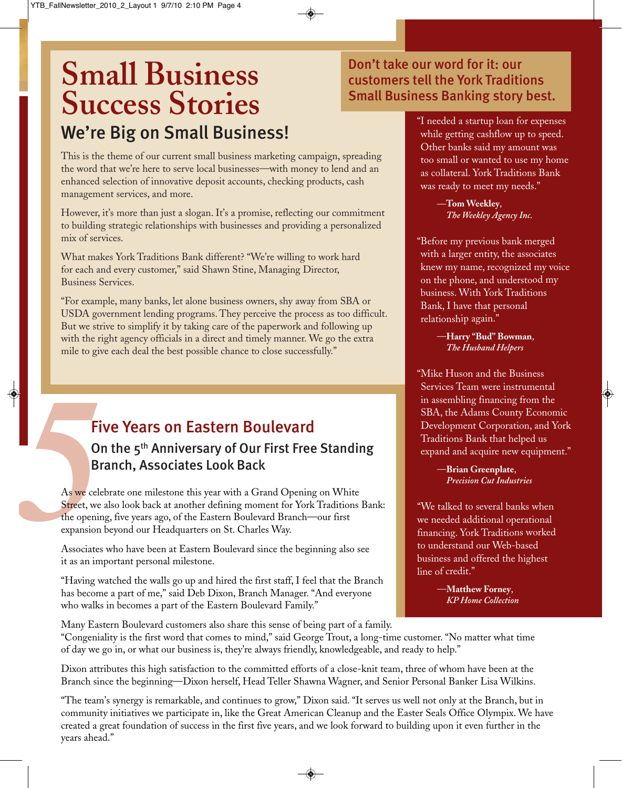# **Small Business Success Stories** We're Big on Small Business!

This is the theme of our current small business marketing campaign, spreading the word that we're here to serve local businesses—with money to lend and an enhanced selection of innovative deposit accounts, checking products, cash management services, and more.

However, it's more than just a slogan. It's a promise, reflecting our commitment to building strategic relationships with businesses and providing a personalized mix of services.

What makes York Traditions Bank different? "We're willing to work hard for each and every customer," said Shawn Stine, Managing Director, Business Services.

"For example, many banks, let alone business owners, shy away from SBA or USDA government lending programs. They perceive the process as too difficult. But we strive to simplify it by taking care of the paperwork and following up with the right agency officials in a direct and timely manner. We go the extra mile to give each deal the best possible chance to close successfully."

#### Five Years on Eastern Boulevard

#### On the 5th Anniversary of Our First Free Standing Branch, Associates Look Back

Fi<br>
Ol<br>
Br<br>
As we cele<br>
Street, we<br>
the openine<br>
expansion<br>
Associates As we celebrate one milestone this year with a Grand Opening on White Street, we also look back at another defining moment for York Traditions Bank: the opening, five years ago, of the Eastern Boulevard Branch—our first expansion beyond our Headquarters on St. Charles Way.

Associates who have been at Eastern Boulevard since the beginning also see it as an important personal milestone.

"Having watched the walls go up and hired the first staff, I feel that the Branch has become a part of me," said Deb Dixon, Branch Manager. "And everyone who walks in becomes a part of the Eastern Boulevard Family."

#### Don't take our word for it: our customers tell the York Traditions Small Business Banking story best.

"I needed <sup>a</sup> startup loan for expenses while getting cashflow up to speed. Other banks said my amount was too small or wanted to use my home as collateral. York Traditions Bank was ready to meet my needs."

> —**Tom Weekley**, *The Weekley Agency Inc.*

"Before my previous bank merged with <sup>a</sup> larger entity, the associates knew my name, recognized my voice on the phone, and understood my business. With York Traditions Bank, I have that personal relationship again."

> —**Harry "Bud" Bowman**, *The Husband Helpers*

"Mike Huson and the Business Services Team were instrumental in assembling financing from the SBA, the Adams County Economic Development Corporation, and York Traditions Bank that helped us expand and acquire new equipment."

> —**Brian Greenplate**, *Precision Cut Industries*

"We talked to several banks when we needed additional operational financing. York Traditions worked to understand our Web-based business and offered the highest line of credit."

> —**Matthew Forney**, *KP Home Collection*

Many Eastern Boulevard customers also share this sense of being part of a family. "Congeniality is the first word that comes to mind," said George Trout, a long-time customer. "No matter what time of day we go in, or what our business is, they're always friendly, knowledgeable, and ready to help."

Dixon attributes this high satisfaction to the committed efforts of a close-knit team, three of whom have been at the Branch since the beginning—Dixon herself, Head Teller Shawna Wagner, and Senior Personal Banker Lisa Wilkins.

"The team's synergy is remarkable, and continues to grow," Dixon said. "It serves us well not only at the Branch, but in community initiatives we participate in, like the Great American Cleanup and the Easter Seals Office Olympix. We have created a great foundation of success in the first five years, and we look forward to building upon it even further in the years ahead."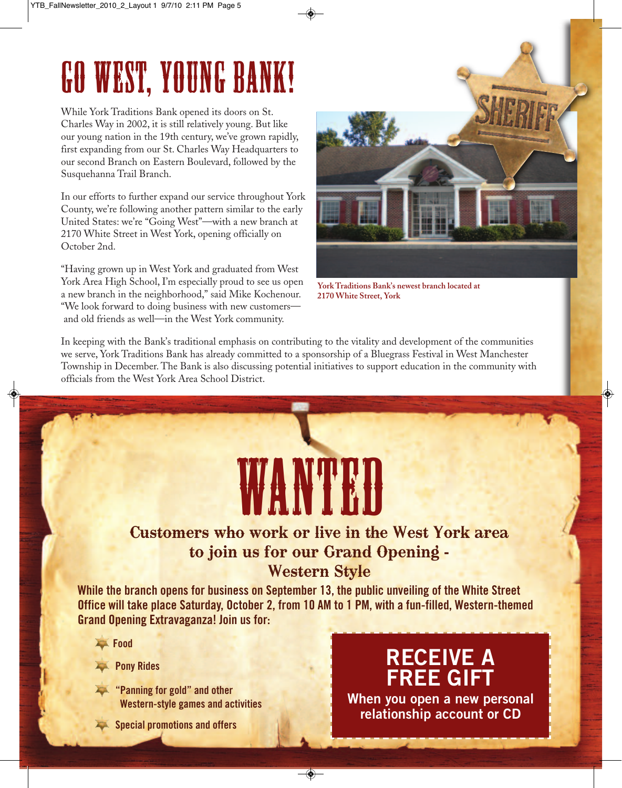# Go West, Young Bank!

While York Traditions Bank opened its doors on St. Charles Way in 2002, it is still relatively young. But like our young nation in the 19th century, we've grown rapidly, first expanding from our St. Charles Way Headquarters to our second Branch on Eastern Boulevard, followed by the Susquehanna Trail Branch.

In our efforts to further expand our service throughout York County, we're following another pattern similar to the early United States: we're "Going West"—with a new branch at 2170 White Street in West York, opening officially on October 2nd.

"Having grown up in West York and graduated from West York Area High School, I'm especially proud to see us open a new branch in the neighborhood," said Mike Kochenour. "We look forward to doing business with new customers and old friends as well—in the West York community.



**York Traditions Bank's newest branch located at 2170 White Street, York**

In keeping with the Bank's traditional emphasis on contributing to the vitality and development of the communities we serve, York Traditions Bank has already committed to a sponsorship of a Bluegrass Festival in West Manchester Township in December. The Bank is also discussing potential initiatives to support education in the community with officials from the West York Area School District.

# WANTED

## Customers who work or live in the West York area to join us for our Grand Opening - Western Style

**While the branch opens for business on September 13, the public unveiling of the White Street Office will take place Saturday, October 2, from 10 AM to 1 PM, with a fun-filled, Western-themed Grand Opening Extravaganza! Join us for:**

- **Food**
- **Pony Rides**
- **"Panning for gold" and other Western-style games and activities**
- **Special promotions and offers**

# **RECEIVE A FREE GIFT**

**When you open a new personal relationship account or CD**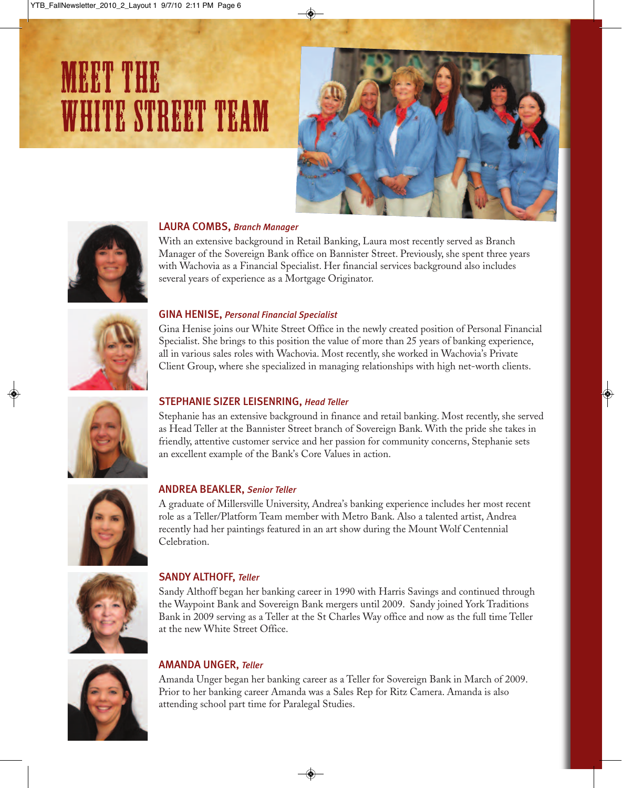# meet the second control of the second control of the second control of the second control of the second control<br>The second control of the second control of the second control of the second control of the second control of white street team





#### LAURA COMBS, *Branch Manager*

With an extensive background in Retail Banking, Laura most recently served as Branch Manager of the Sovereign Bank office on Bannister Street. Previously, she spent three years with Wachovia as a Financial Specialist. Her financial services background also includes several years of experience as a Mortgage Originator.



#### GINA HENISE, *Personal Financial Specialist*

Gina Henise joins our White Street Office in the newly created position of Personal Financial Specialist. She brings to this position the value of more than 25 years of banking experience, all in various sales roles with Wachovia. Most recently, she worked in Wachovia's Private Client Group, where she specialized in managing relationships with high net-worth clients.



#### STEPHANIE SIZER LEISENRING, *Head Teller*

Stephanie has an extensive background in finance and retail banking. Most recently, she served as Head Teller at the Bannister Street branch of Sovereign Bank. With the pride she takes in friendly, attentive customer service and her passion for community concerns, Stephanie sets an excellent example of the Bank's Core Values in action.



#### ANDREA BEAKLER, *Senior Teller*

A graduate of Millersville University, Andrea's banking experience includes her most recent role as a Teller/Platform Team member with Metro Bank. Also a talented artist, Andrea recently had her paintings featured in an art show during the Mount Wolf Centennial Celebration.



#### SANDY ALTHOFF, *Teller*

Sandy Althoff began her banking career in 1990 with Harris Savings and continued through the Waypoint Bank and Sovereign Bank mergers until 2009. Sandy joined York Traditions Bank in 2009 serving as a Teller at the St Charles Way office and now as the full time Teller at the new White Street Office.



#### AMANDA UNGER, *Teller*

Amanda Unger began her banking career as a Teller for Sovereign Bank in March of 2009. Prior to her banking career Amanda was a Sales Rep for Ritz Camera. Amanda is also attending school part time for Paralegal Studies.